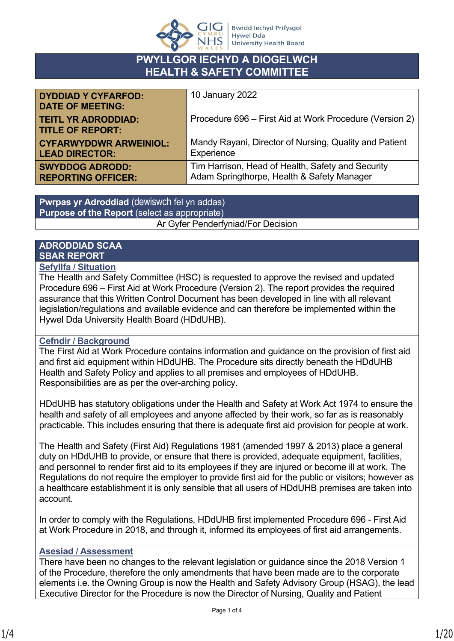

## **PWYLLGOR IECHYD A DIOGELWCH HEALTH & SAFETY COMMITTEE**

| <b>DYDDIAD Y CYFARFOD:</b><br><b>DATE OF MEETING:</b> | 10 January 2022                                         |
|-------------------------------------------------------|---------------------------------------------------------|
| <b>TEITL YR ADRODDIAD:</b><br><b>TITLE OF REPORT:</b> | Procedure 696 – First Aid at Work Procedure (Version 2) |
| <b>CYFARWYDDWR ARWEINIOL:</b>                         | Mandy Rayani, Director of Nursing, Quality and Patient  |
| <b>LEAD DIRECTOR:</b>                                 | Experience                                              |
| <b>SWYDDOG ADRODD:</b>                                | Tim Harrison, Head of Health, Safety and Security       |
| <b>REPORTING OFFICER:</b>                             | Adam Springthorpe, Health & Safety Manager              |

**Pwrpas yr Adroddiad** (dewiswch fel yn addas) **Purpose of the Report** (select as appropriate) Ar Gyfer Penderfyniad/For Decision

## **ADRODDIAD SCAA SBAR REPORT**

#### **Sefyllfa / Situation**

The Health and Safety Committee (HSC) is requested to approve the revised and updated Procedure 696 – First Aid at Work Procedure (Version 2). The report provides the required assurance that this Written Control Document has been developed in line with all relevant legislation/regulations and available evidence and can therefore be implemented within the Hywel Dda University Health Board (HDdUHB).

#### **Cefndir / Background**

The First Aid at Work Procedure contains information and guidance on the provision of first aid and first aid equipment within HDdUHB. The Procedure sits directly beneath the HDdUHB Health and Safety Policy and applies to all premises and employees of HDdUHB. Responsibilities are as per the over-arching policy.

HDdUHB has statutory obligations under the Health and Safety at Work Act 1974 to ensure the health and safety of all employees and anyone affected by their work, so far as is reasonably practicable. This includes ensuring that there is adequate first aid provision for people at work.

The Health and Safety (First Aid) Regulations 1981 (amended 1997 & 2013) place a general duty on HDdUHB to provide, or ensure that there is provided, adequate equipment, facilities, and personnel to render first aid to its employees if they are injured or become ill at work. The Regulations do not require the employer to provide first aid for the public or visitors; however as a healthcare establishment it is only sensible that all users of HDdUHB premises are taken into account.

In order to comply with the Regulations, HDdUHB first implemented Procedure 696 - First Aid at Work Procedure in 2018, and through it, informed its employees of first aid arrangements.

#### **Asesiad / Assessment**

There have been no changes to the relevant legislation or guidance since the 2018 Version 1 of the Procedure, therefore the only amendments that have been made are to the corporate elements i.e. the Owning Group is now the Health and Safety Advisory Group (HSAG), the lead Executive Director for the Procedure is now the Director of Nursing, Quality and Patient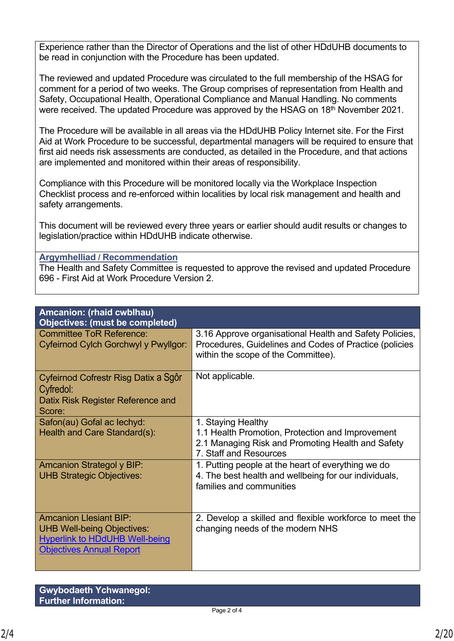Experience rather than the Director of Operations and the list of other HDdUHB documents to be read in conjunction with the Procedure has been updated.

The reviewed and updated Procedure was circulated to the full membership of the HSAG for comment for a period of two weeks. The Group comprises of representation from Health and Safety, Occupational Health, Operational Compliance and Manual Handling. No comments were received. The updated Procedure was approved by the HSAG on 18<sup>th</sup> November 2021.

The Procedure will be available in all areas via the HDdUHB Policy Internet site. For the First Aid at Work Procedure to be successful, departmental managers will be required to ensure that first aid needs risk assessments are conducted, as detailed in the Procedure, and that actions are implemented and monitored within their areas of responsibility.

Compliance with this Procedure will be monitored locally via the Workplace Inspection Checklist process and re-enforced within localities by local risk management and health and safety arrangements.

This document will be reviewed every three years or earlier should audit results or changes to legislation/practice within HDdUHB indicate otherwise.

#### **Argymhelliad / Recommendation**

The Health and Safety Committee is requested to approve the revised and updated Procedure 696 - First Aid at Work Procedure Version 2.

| Amcanion: (rhaid cwblhau)<br><b>Objectives: (must be completed)</b>                                                                            |                                                                                                                                                          |
|------------------------------------------------------------------------------------------------------------------------------------------------|----------------------------------------------------------------------------------------------------------------------------------------------------------|
| <b>Committee ToR Reference:</b><br>Cyfeirnod Cylch Gorchwyl y Pwyllgor:                                                                        | 3.16 Approve organisational Health and Safety Policies,<br>Procedures, Guidelines and Codes of Practice (policies<br>within the scope of the Committee). |
| Cyfeirnod Cofrestr Risg Datix a Sgôr<br>Cyfredol:<br>Datix Risk Register Reference and<br>Score:                                               | Not applicable.                                                                                                                                          |
| Safon(au) Gofal ac lechyd:<br>Health and Care Standard(s):                                                                                     | 1. Staying Healthy<br>1.1 Health Promotion, Protection and Improvement<br>2.1 Managing Risk and Promoting Health and Safety<br>7. Staff and Resources    |
| <b>Amcanion Strategol y BIP:</b><br><b>UHB Strategic Objectives:</b>                                                                           | 1. Putting people at the heart of everything we do<br>4. The best health and wellbeing for our individuals,<br>families and communities                  |
| <b>Amcanion Llesiant BIP:</b><br><b>UHB Well-being Objectives:</b><br><b>Hyperlink to HDdUHB Well-being</b><br><b>Objectives Annual Report</b> | 2. Develop a skilled and flexible workforce to meet the<br>changing needs of the modern NHS                                                              |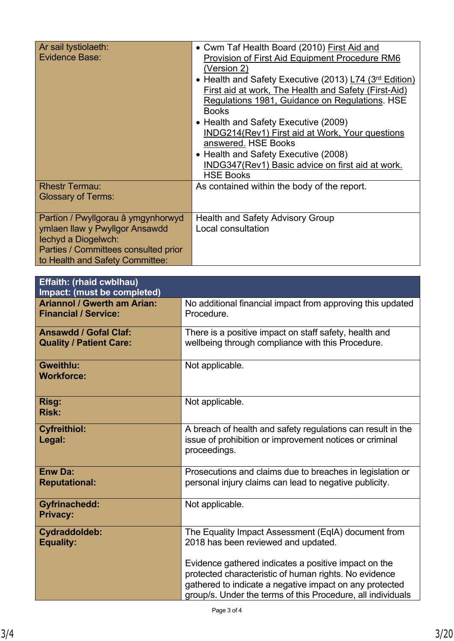| Ar sail tystiolaeth:<br><b>Evidence Base:</b>                                                                                                                          | • Cwm Taf Health Board (2010) First Aid and<br>Provision of First Aid Equipment Procedure RM6<br>(Version 2)<br>• Health and Safety Executive (2013) L74 (3rd Edition)<br>First aid at work, The Health and Safety (First-Aid)<br>Regulations 1981, Guidance on Regulations. HSE<br><b>Books</b><br>• Health and Safety Executive (2009)<br>INDG214(Rev1) First aid at Work, Your questions<br>answered. HSE Books<br>• Health and Safety Executive (2008)<br>INDG347(Rev1) Basic advice on first aid at work.<br><b>HSE Books</b> |
|------------------------------------------------------------------------------------------------------------------------------------------------------------------------|------------------------------------------------------------------------------------------------------------------------------------------------------------------------------------------------------------------------------------------------------------------------------------------------------------------------------------------------------------------------------------------------------------------------------------------------------------------------------------------------------------------------------------|
| <b>Rhestr Termau:</b><br><b>Glossary of Terms:</b>                                                                                                                     | As contained within the body of the report.                                                                                                                                                                                                                                                                                                                                                                                                                                                                                        |
| Partïon / Pwyllgorau â ymgynhorwyd<br>ymlaen llaw y Pwyllgor Ansawdd<br>lechyd a Diogelwch:<br>Parties / Committees consulted prior<br>to Health and Safety Committee: | <b>Health and Safety Advisory Group</b><br>Local consultation                                                                                                                                                                                                                                                                                                                                                                                                                                                                      |

| <b>Effaith: (rhaid cwblhau)</b><br>Impact: (must be completed)    |                                                                                                                                                                                                                                                                                                                                       |
|-------------------------------------------------------------------|---------------------------------------------------------------------------------------------------------------------------------------------------------------------------------------------------------------------------------------------------------------------------------------------------------------------------------------|
| <b>Ariannol / Gwerth am Arian:</b><br><b>Financial / Service:</b> | No additional financial impact from approving this updated<br>Procedure.                                                                                                                                                                                                                                                              |
| <b>Ansawdd / Gofal Claf:</b><br><b>Quality / Patient Care:</b>    | There is a positive impact on staff safety, health and<br>wellbeing through compliance with this Procedure.                                                                                                                                                                                                                           |
| <b>Gweithlu:</b><br><b>Workforce:</b>                             | Not applicable.                                                                                                                                                                                                                                                                                                                       |
| Risg:<br><b>Risk:</b>                                             | Not applicable.                                                                                                                                                                                                                                                                                                                       |
| <b>Cyfreithiol:</b><br>Legal:                                     | A breach of health and safety regulations can result in the<br>issue of prohibition or improvement notices or criminal<br>proceedings.                                                                                                                                                                                                |
| <b>Enw Da:</b><br><b>Reputational:</b>                            | Prosecutions and claims due to breaches in legislation or<br>personal injury claims can lead to negative publicity.                                                                                                                                                                                                                   |
| <b>Gyfrinachedd:</b><br><b>Privacy:</b>                           | Not applicable.                                                                                                                                                                                                                                                                                                                       |
| Cydraddoldeb:<br><b>Equality:</b>                                 | The Equality Impact Assessment (EqIA) document from<br>2018 has been reviewed and updated.<br>Evidence gathered indicates a positive impact on the<br>protected characteristic of human rights. No evidence<br>gathered to indicate a negative impact on any protected<br>group/s. Under the terms of this Procedure, all individuals |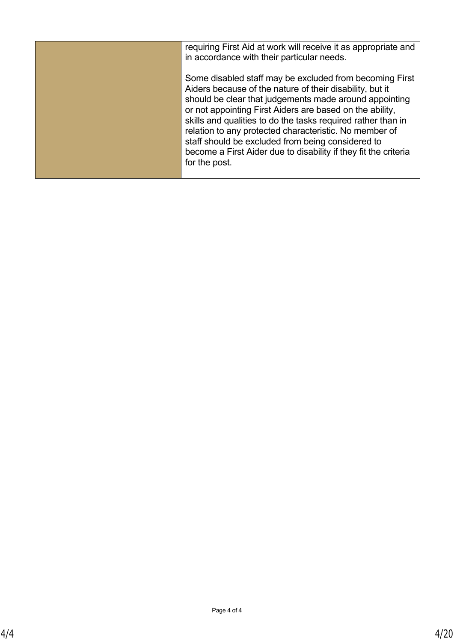| requiring First Aid at work will receive it as appropriate and<br>in accordance with their particular needs.                                                                       |
|------------------------------------------------------------------------------------------------------------------------------------------------------------------------------------|
| Some disabled staff may be excluded from becoming First                                                                                                                            |
| Aiders because of the nature of their disability, but it<br>should be clear that judgements made around appointing                                                                 |
| or not appointing First Aiders are based on the ability,<br>skills and qualities to do the tasks required rather than in<br>relation to any protected characteristic. No member of |
| staff should be excluded from being considered to<br>become a First Aider due to disability if they fit the criteria                                                               |
| for the post.                                                                                                                                                                      |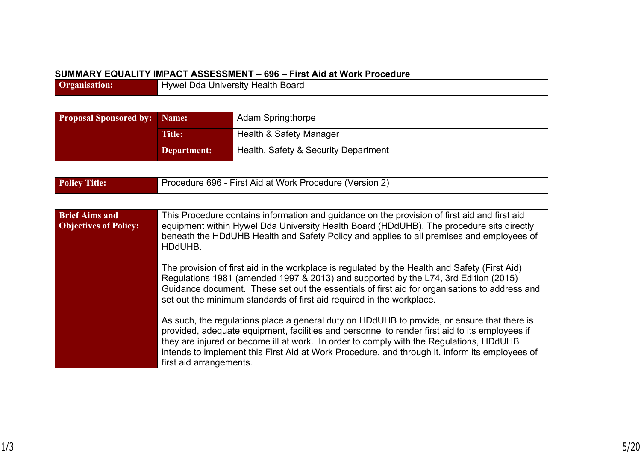#### **SUMMARY EQUALITY IMPACT ASSESSMENT – 696 – First Aid at Work Procedure**

**Organisation:** Hywel Dda University Health Board

| <b>Proposal Sponsored by:</b> Name: |               | <b>Adam Springthorpe</b>             |
|-------------------------------------|---------------|--------------------------------------|
|                                     | <b>Title:</b> | Health & Safety Manager              |
|                                     | Department:   | Health, Safety & Security Department |

| Procedure 696 - First Aid at Work Procedure (Version 2)<br><b>Policy Title:</b> |  |
|---------------------------------------------------------------------------------|--|
|---------------------------------------------------------------------------------|--|

| <b>Brief Aims and</b><br><b>Objectives of Policy:</b> | This Procedure contains information and guidance on the provision of first aid and first aid<br>equipment within Hywel Dda University Health Board (HDdUHB). The procedure sits directly<br>beneath the HDdUHB Health and Safety Policy and applies to all premises and employees of<br>HDdUHB.                                                                                                                       |
|-------------------------------------------------------|-----------------------------------------------------------------------------------------------------------------------------------------------------------------------------------------------------------------------------------------------------------------------------------------------------------------------------------------------------------------------------------------------------------------------|
|                                                       | The provision of first aid in the workplace is regulated by the Health and Safety (First Aid)<br>Regulations 1981 (amended 1997 & 2013) and supported by the L74, 3rd Edition (2015)<br>Guidance document. These set out the essentials of first aid for organisations to address and<br>set out the minimum standards of first aid required in the workplace.                                                        |
|                                                       | As such, the regulations place a general duty on HDdUHB to provide, or ensure that there is<br>provided, adequate equipment, facilities and personnel to render first aid to its employees if<br>they are injured or become ill at work. In order to comply with the Regulations, HDdUHB<br>intends to implement this First Aid at Work Procedure, and through it, inform its employees of<br>first aid arrangements. |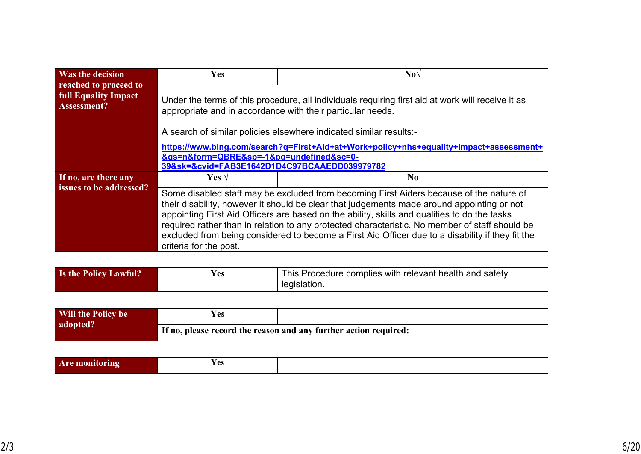| <b>Was the decision</b>                                             | <b>Yes</b>                                                                                                                                                                                                                                                                                                                                                                                                                                                                                                            | $\bf Nov$      |  |
|---------------------------------------------------------------------|-----------------------------------------------------------------------------------------------------------------------------------------------------------------------------------------------------------------------------------------------------------------------------------------------------------------------------------------------------------------------------------------------------------------------------------------------------------------------------------------------------------------------|----------------|--|
| reached to proceed to<br><b>full Equality Impact</b><br>Assessment? | Under the terms of this procedure, all individuals requiring first aid at work will receive it as<br>appropriate and in accordance with their particular needs.                                                                                                                                                                                                                                                                                                                                                       |                |  |
| A search of similar policies elsewhere indicated similar results:-  |                                                                                                                                                                                                                                                                                                                                                                                                                                                                                                                       |                |  |
|                                                                     | https://www.bing.com/search?q=First+Aid+at+Work+policy+nhs+equality+impact+assessment+                                                                                                                                                                                                                                                                                                                                                                                                                                |                |  |
|                                                                     | &qs=n&form=QBRE&sp=-1&pq=undefined≻=0-<br>39&sk=&cvid=FAB3E1642D1D4C97BCAAEDD039979782                                                                                                                                                                                                                                                                                                                                                                                                                                |                |  |
|                                                                     |                                                                                                                                                                                                                                                                                                                                                                                                                                                                                                                       |                |  |
| If no, are there any                                                | Yes $\sqrt{ }$                                                                                                                                                                                                                                                                                                                                                                                                                                                                                                        | N <sub>0</sub> |  |
| issues to be addressed?                                             | Some disabled staff may be excluded from becoming First Aiders because of the nature of<br>their disability, however it should be clear that judgements made around appointing or not<br>appointing First Aid Officers are based on the ability, skills and qualities to do the tasks<br>required rather than in relation to any protected characteristic. No member of staff should be<br>excluded from being considered to become a First Aid Officer due to a disability if they fit the<br>criteria for the post. |                |  |

| <b>Is the Policy Lawful?</b> | Y es | This Procedure complies with relevant health and safety |
|------------------------------|------|---------------------------------------------------------|
|                              |      | legislation.                                            |

| Will the Policy be | Yes                                                              |  |
|--------------------|------------------------------------------------------------------|--|
| adopted?           | If no, please record the reason and any further action required: |  |

|  | $\alpha$ c<br>ື້ |  |
|--|------------------|--|
|--|------------------|--|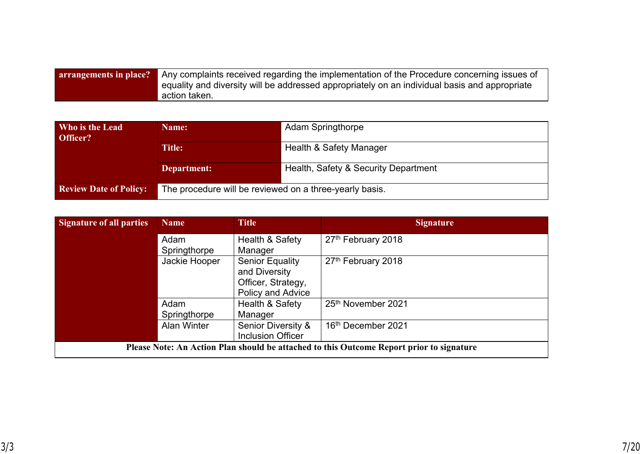| <b>arrangements in place?</b> Any complaints received regarding the implementation of the Procedure concerning issues of |
|--------------------------------------------------------------------------------------------------------------------------|
| equality and diversity will be addressed appropriately on an individual basis and appropriate                            |
| action taken.                                                                                                            |

| Who is the Lead<br>Officer?   | Name:                                                   | <b>Adam Springthorpe</b>             |  |
|-------------------------------|---------------------------------------------------------|--------------------------------------|--|
|                               | Title:                                                  | Health & Safety Manager              |  |
|                               | Department:                                             | Health, Safety & Security Department |  |
| <b>Review Date of Policy:</b> | The procedure will be reviewed on a three-yearly basis. |                                      |  |

| <b>Signature of all parties</b> | <b>Name</b>        | <b>Title</b>                  | <b>Signature</b>                                                                         |
|---------------------------------|--------------------|-------------------------------|------------------------------------------------------------------------------------------|
|                                 | Adam               | Health & Safety               | 27th February 2018                                                                       |
|                                 | Springthorpe       | Manager                       |                                                                                          |
|                                 | Jackie Hooper      | <b>Senior Equality</b>        | 27th February 2018                                                                       |
|                                 |                    | and Diversity                 |                                                                                          |
|                                 |                    | Officer, Strategy,            |                                                                                          |
|                                 |                    | Policy and Advice             |                                                                                          |
|                                 | Adam               | Health & Safety               | 25th November 2021                                                                       |
|                                 | Springthorpe       | Manager                       |                                                                                          |
|                                 | <b>Alan Winter</b> | <b>Senior Diversity &amp;</b> | 16th December 2021                                                                       |
|                                 |                    | <b>Inclusion Officer</b>      |                                                                                          |
|                                 |                    |                               | Please Note: An Action Plan should be attached to this Outcome Report prior to signature |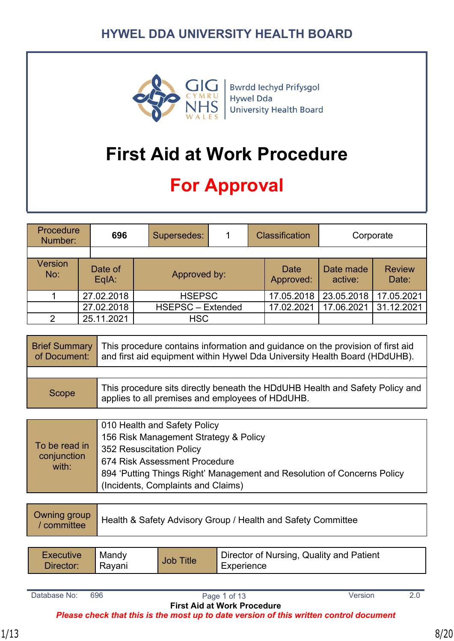

Bwrdd Iechyd Prifysgol Hywel Dda **University Health Board** 

# **First Aid at Work Procedure**

# **For Approval**

| Procedure<br>Number:  | 696              | Supersedes: |                          |  |                   | <b>Classification</b> | Corporate              |  |
|-----------------------|------------------|-------------|--------------------------|--|-------------------|-----------------------|------------------------|--|
|                       |                  |             |                          |  |                   |                       |                        |  |
| <b>Version</b><br>No: | Date of<br>EqIA: |             | Approved by:             |  | Date<br>Approved: | Date made<br>active:  | <b>Review</b><br>Date: |  |
|                       | 27.02.2018       |             | <b>HSEPSC</b>            |  | 17.05.2018        | 23.05.2018            | 17.05.2021             |  |
|                       | 27.02.2018       |             | <b>HSEPSC - Extended</b> |  | 17.02.2021        | 17.06.2021            | 31.12.2021             |  |
| $\mathfrak{p}$        | 25.11.2021       |             | <b>HSC</b>               |  |                   |                       |                        |  |

| <b>Brief Summary</b><br>of Document: | This procedure contains information and guidance on the provision of first aid<br>and first aid equipment within Hywel Dda University Health Board (HDdUHB). |
|--------------------------------------|--------------------------------------------------------------------------------------------------------------------------------------------------------------|
|                                      |                                                                                                                                                              |
| Scope                                | This procedure sits directly beneath the HDdUHB Health and Safety Policy and<br>applies to all premises and employees of HDdUHB.                             |
|                                      |                                                                                                                                                              |
|                                      | 010 Health and Safety Policy                                                                                                                                 |

| 156 Risk Management Strategy & Policy<br>To be read in<br>352 Resuscitation Policy<br>conjunction<br>674 Risk Assessment Procedure<br>with:<br>894 'Putting Things Right' Management and Resolution of Concerns Policy<br>(Incidents, Complaints and Claims) |  |
|--------------------------------------------------------------------------------------------------------------------------------------------------------------------------------------------------------------------------------------------------------------|--|
|--------------------------------------------------------------------------------------------------------------------------------------------------------------------------------------------------------------------------------------------------------------|--|

| Owning group<br>/ committee | Health & Safety Advisory Group / Health and Safety Committee |
|-----------------------------|--------------------------------------------------------------|
|                             |                                                              |

| <b>Executive</b> | Mandy  | <b>Job Title</b> | Director of Nursing, Quality and Patient |
|------------------|--------|------------------|------------------------------------------|
| Director:        | Ravani |                  | Experience                               |

Database No: 696 **Page 1 of 13** Version 2.0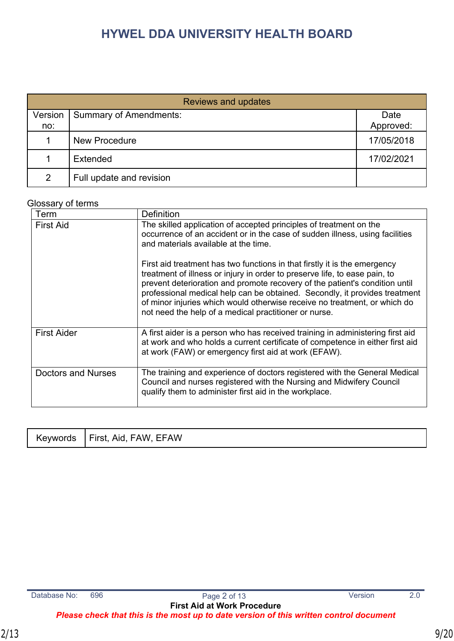|         | Reviews and updates           |            |  |  |  |
|---------|-------------------------------|------------|--|--|--|
| Version | <b>Summary of Amendments:</b> | Date       |  |  |  |
| no:     |                               | Approved:  |  |  |  |
|         | <b>New Procedure</b>          | 17/05/2018 |  |  |  |
|         | Extended                      | 17/02/2021 |  |  |  |
| 2       | Full update and revision      |            |  |  |  |

#### Glossary of terms

| Term               | <b>Definition</b>                                                                                                                                                                                                                                                                                                                                                                                                                                          |
|--------------------|------------------------------------------------------------------------------------------------------------------------------------------------------------------------------------------------------------------------------------------------------------------------------------------------------------------------------------------------------------------------------------------------------------------------------------------------------------|
| <b>First Aid</b>   | The skilled application of accepted principles of treatment on the<br>occurrence of an accident or in the case of sudden illness, using facilities<br>and materials available at the time.                                                                                                                                                                                                                                                                 |
|                    | First aid treatment has two functions in that firstly it is the emergency<br>treatment of illness or injury in order to preserve life, to ease pain, to<br>prevent deterioration and promote recovery of the patient's condition until<br>professional medical help can be obtained. Secondly, it provides treatment<br>of minor injuries which would otherwise receive no treatment, or which do<br>not need the help of a medical practitioner or nurse. |
| <b>First Aider</b> | A first aider is a person who has received training in administering first aid<br>at work and who holds a current certificate of competence in either first aid<br>at work (FAW) or emergency first aid at work (EFAW).                                                                                                                                                                                                                                    |
| Doctors and Nurses | The training and experience of doctors registered with the General Medical<br>Council and nurses registered with the Nursing and Midwifery Council<br>qualify them to administer first aid in the workplace.                                                                                                                                                                                                                                               |

| Keywords | First, Aid, FAW, EFAW |  |
|----------|-----------------------|--|
|----------|-----------------------|--|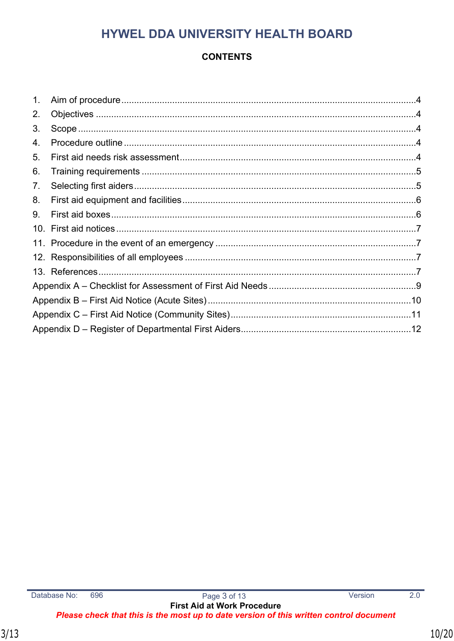## **CONTENTS**

| 1 <sub>1</sub> |  |
|----------------|--|
| 2.             |  |
| 3.             |  |
| 4.             |  |
| 5.             |  |
| 6.             |  |
| 7.             |  |
| 8.             |  |
| 9.             |  |
|                |  |
|                |  |
|                |  |
|                |  |
|                |  |
|                |  |
|                |  |
|                |  |

 $\overline{2.0}$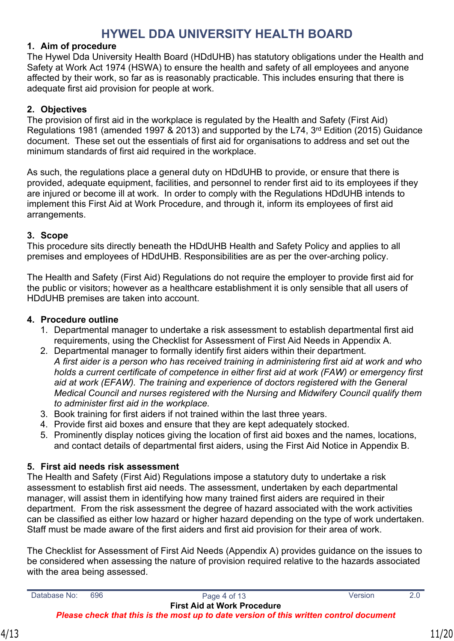#### <span id="page-10-0"></span>**1. Aim of procedure**

The Hywel Dda University Health Board (HDdUHB) has statutory obligations under the Health and Safety at Work Act 1974 (HSWA) to ensure the health and safety of all employees and anyone affected by their work, so far as is reasonably practicable. This includes ensuring that there is adequate first aid provision for people at work.

### <span id="page-10-1"></span>**2. Objectives**

The provision of first aid in the workplace is regulated by the Health and Safety (First Aid) Regulations 1981 (amended 1997 & 2013) and supported by the L74, 3<sup>rd</sup> Edition (2015) Guidance document. These set out the essentials of first aid for organisations to address and set out the minimum standards of first aid required in the workplace.

As such, the regulations place a general duty on HDdUHB to provide, or ensure that there is provided, adequate equipment, facilities, and personnel to render first aid to its employees if they are injured or become ill at work. In order to comply with the Regulations HDdUHB intends to implement this First Aid at Work Procedure, and through it, inform its employees of first aid arrangements.

#### <span id="page-10-2"></span>**3. Scope**

This procedure sits directly beneath the HDdUHB Health and Safety Policy and applies to all premises and employees of HDdUHB. Responsibilities are as per the over-arching policy.

The Health and Safety (First Aid) Regulations do not require the employer to provide first aid for the public or visitors; however as a healthcare establishment it is only sensible that all users of HDdUHB premises are taken into account.

#### <span id="page-10-3"></span>**4. Procedure outline**

- 1. Departmental manager to undertake a risk assessment to establish departmental first aid requirements, using the Checklist for Assessment of First Aid Needs in Appendix A.
- 2. Departmental manager to formally identify first aiders within their department. *A first aider is a person who has received training in administering first aid at work and who holds a current certificate of competence in either first aid at work (FAW) or emergency first aid at work (EFAW). The training and experience of doctors registered with the General Medical Council and nurses registered with the Nursing and Midwifery Council qualify them to administer first aid in the workplace.*
- 3. Book training for first aiders if not trained within the last three years.
- 4. Provide first aid boxes and ensure that they are kept adequately stocked.
- 5. Prominently display notices giving the location of first aid boxes and the names, locations, and contact details of departmental first aiders, using the First Aid Notice in Appendix B.

#### <span id="page-10-4"></span>**5. First aid needs risk assessment**

The Health and Safety (First Aid) Regulations impose a statutory duty to undertake a risk assessment to establish first aid needs. The assessment, undertaken by each departmental manager, will assist them in identifying how many trained first aiders are required in their department. From the risk assessment the degree of hazard associated with the work activities can be classified as either low hazard or higher hazard depending on the type of work undertaken. Staff must be made aware of the first aiders and first aid provision for their area of work.

The Checklist for Assessment of First Aid Needs (Appendix A) provides guidance on the issues to be considered when assessing the nature of provision required relative to the hazards associated with the area being assessed.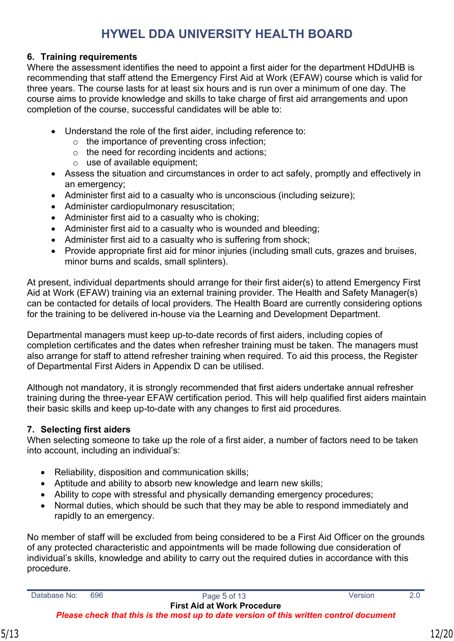## <span id="page-11-0"></span>**6. Training requirements**

Where the assessment identifies the need to appoint a first aider for the department HDdUHB is recommending that staff attend the Emergency First Aid at Work (EFAW) course which is valid for three years. The course lasts for at least six hours and is run over a minimum of one day. The course aims to provide knowledge and skills to take charge of first aid arrangements and upon completion of the course, successful candidates will be able to:

- Understand the role of the first aider, including reference to:
	- o the importance of preventing cross infection;
	- o the need for recording incidents and actions;
	- $\circ$  use of available equipment:
- Assess the situation and circumstances in order to act safely, promptly and effectively in an emergency;
- Administer first aid to a casualty who is unconscious (including seizure);
- Administer cardiopulmonary resuscitation;
- Administer first aid to a casualty who is choking;
- Administer first aid to a casualty who is wounded and bleeding;
- Administer first aid to a casualty who is suffering from shock;
- Provide appropriate first aid for minor injuries (including small cuts, grazes and bruises, minor burns and scalds, small splinters).

At present, individual departments should arrange for their first aider(s) to attend Emergency First Aid at Work (EFAW) training via an external training provider. The Health and Safety Manager(s) can be contacted for details of local providers. The Health Board are currently considering options for the training to be delivered in-house via the Learning and Development Department.

Departmental managers must keep up-to-date records of first aiders, including copies of completion certificates and the dates when refresher training must be taken. The managers must also arrange for staff to attend refresher training when required. To aid this process, the Register of Departmental First Aiders in Appendix D can be utilised.

Although not mandatory, it is strongly recommended that first aiders undertake annual refresher training during the three-year EFAW certification period. This will help qualified first aiders maintain their basic skills and keep up-to-date with any changes to first aid procedures.

## <span id="page-11-1"></span>**7. Selecting first aiders**

When selecting someone to take up the role of a first aider, a number of factors need to be taken into account, including an individual's:

- Reliability, disposition and communication skills;
- Aptitude and ability to absorb new knowledge and learn new skills;
- Ability to cope with stressful and physically demanding emergency procedures;
- Normal duties, which should be such that they may be able to respond immediately and rapidly to an emergency.

No member of staff will be excluded from being considered to be a First Aid Officer on the grounds of any protected characteristic and appointments will be made following due consideration of individual's skills, knowledge and ability to carry out the required duties in accordance with this procedure.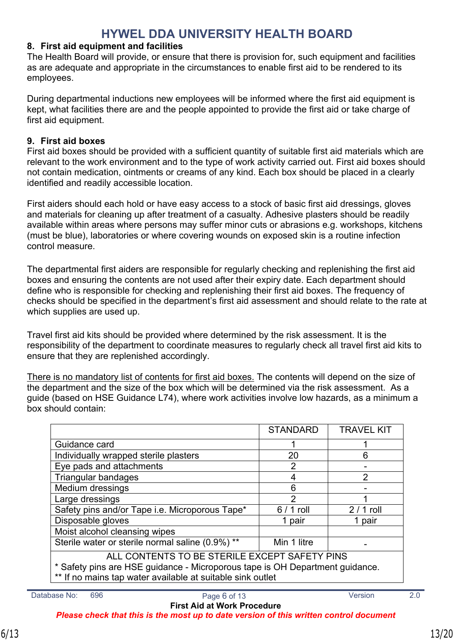#### <span id="page-12-0"></span>**8. First aid equipment and facilities**

The Health Board will provide, or ensure that there is provision for, such equipment and facilities as are adequate and appropriate in the circumstances to enable first aid to be rendered to its employees.

During departmental inductions new employees will be informed where the first aid equipment is kept, what facilities there are and the people appointed to provide the first aid or take charge of first aid equipment.

#### <span id="page-12-1"></span>**9. First aid boxes**

First aid boxes should be provided with a sufficient quantity of suitable first aid materials which are relevant to the work environment and to the type of work activity carried out. First aid boxes should not contain medication, ointments or creams of any kind. Each box should be placed in a clearly identified and readily accessible location.

First aiders should each hold or have easy access to a stock of basic first aid dressings, gloves and materials for cleaning up after treatment of a casualty. Adhesive plasters should be readily available within areas where persons may suffer minor cuts or abrasions e.g. workshops, kitchens (must be blue), laboratories or where covering wounds on exposed skin is a routine infection control measure.

The departmental first aiders are responsible for regularly checking and replenishing the first aid boxes and ensuring the contents are not used after their expiry date. Each department should define who is responsible for checking and replenishing their first aid boxes. The frequency of checks should be specified in the department's first aid assessment and should relate to the rate at which supplies are used up.

Travel first aid kits should be provided where determined by the risk assessment. It is the responsibility of the department to coordinate measures to regularly check all travel first aid kits to ensure that they are replenished accordingly.

There is no mandatory list of contents for first aid boxes. The contents will depend on the size of the department and the size of the box which will be determined via the risk assessment. As a guide (based on HSE Guidance L74), where work activities involve low hazards, as a minimum a box should contain:

|                                                                                                                                                                                             | <b>STANDARD</b> | <b>TRAVEL KIT</b> |  |  |
|---------------------------------------------------------------------------------------------------------------------------------------------------------------------------------------------|-----------------|-------------------|--|--|
| Guidance card                                                                                                                                                                               |                 |                   |  |  |
| Individually wrapped sterile plasters                                                                                                                                                       | 20              | 6                 |  |  |
| Eye pads and attachments                                                                                                                                                                    | 2               |                   |  |  |
| Triangular bandages                                                                                                                                                                         | 4               | 2                 |  |  |
| Medium dressings                                                                                                                                                                            | 6               |                   |  |  |
| Large dressings                                                                                                                                                                             | $\overline{2}$  | 4                 |  |  |
| Safety pins and/or Tape i.e. Microporous Tape*                                                                                                                                              | $6/1$ roll      | $2/1$ roll        |  |  |
| Disposable gloves                                                                                                                                                                           | 1 pair          | 1 pair            |  |  |
| Moist alcohol cleansing wipes                                                                                                                                                               |                 |                   |  |  |
| Sterile water or sterile normal saline (0.9%) **                                                                                                                                            | Min 1 litre     |                   |  |  |
| ALL CONTENTS TO BE STERILE EXCEPT SAFETY PINS<br>* Safety pins are HSE guidance - Microporous tape is OH Department guidance.<br>** If no mains tap water available at suitable sink outlet |                 |                   |  |  |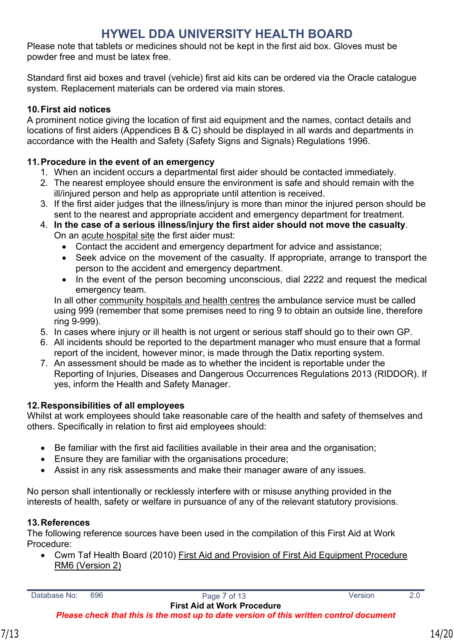Please note that tablets or medicines should not be kept in the first aid box. Gloves must be powder free and must be latex free.

Standard first aid boxes and travel (vehicle) first aid kits can be ordered via the Oracle catalogue system. Replacement materials can be ordered via main stores.

## <span id="page-13-0"></span>**10.First aid notices**

A prominent notice giving the location of first aid equipment and the names, contact details and locations of first aiders (Appendices B & C) should be displayed in all wards and departments in accordance with the Health and Safety (Safety Signs and Signals) Regulations 1996.

### <span id="page-13-1"></span>**11.Procedure in the event of an emergency**

- 1. When an incident occurs a departmental first aider should be contacted immediately.
- 2. The nearest employee should ensure the environment is safe and should remain with the ill/injured person and help as appropriate until attention is received.
- 3. If the first aider judges that the illness/injury is more than minor the injured person should be sent to the nearest and appropriate accident and emergency department for treatment.
- 4. **In the case of a serious illness/injury the first aider should not move the casualty**. On an acute hospital site the first aider must:
	- Contact the accident and emergency department for advice and assistance;
	- Seek advice on the movement of the casualty. If appropriate, arrange to transport the person to the accident and emergency department.
	- In the event of the person becoming unconscious, dial 2222 and request the medical emergency team.

In all other community hospitals and health centres the ambulance service must be called using 999 (remember that some premises need to ring 9 to obtain an outside line, therefore ring 9-999).

- 5. In cases where injury or ill health is not urgent or serious staff should go to their own GP.
- 6. All incidents should be reported to the department manager who must ensure that a formal report of the incident, however minor, is made through the Datix reporting system.
- 7. An assessment should be made as to whether the incident is reportable under the Reporting of Injuries, Diseases and Dangerous Occurrences Regulations 2013 (RIDDOR). If yes, inform the Health and Safety Manager.

## <span id="page-13-2"></span>**12.Responsibilities of all employees**

Whilst at work employees should take reasonable care of the health and safety of themselves and others. Specifically in relation to first aid employees should:

- Be familiar with the first aid facilities available in their area and the organisation;
- Ensure they are familiar with the organisations procedure;
- Assist in any risk assessments and make their manager aware of any issues.

No person shall intentionally or recklessly interfere with or misuse anything provided in the interests of health, safety or welfare in pursuance of any of the relevant statutory provisions.

#### <span id="page-13-3"></span>**13.References**

The following reference sources have been used in the compilation of this First Aid at Work Procedure:

 Cwm Taf Health Board (2010) First Aid and Provision of First Aid Equipment Procedure RM6 (Version 2)

*Please check that this is the most up to date version of this written control document*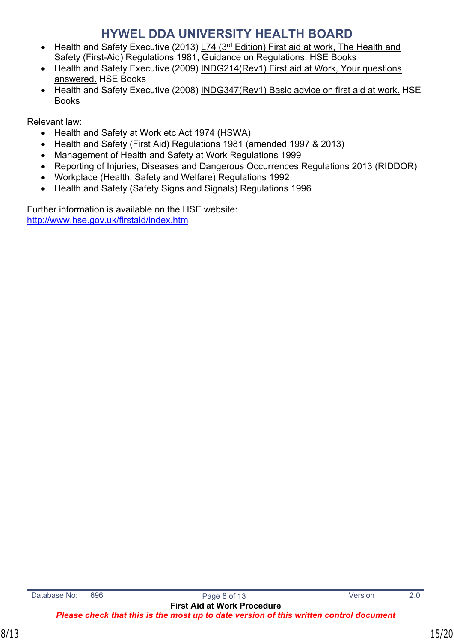- Health and Safety Executive (2013) L74 ( $3<sup>rd</sup>$  Edition) First aid at work, The Health and Safety (First-Aid) Regulations 1981, Guidance on Regulations. HSE Books
- Health and Safety Executive (2009) INDG214(Rev1) First aid at Work, Your questions answered. HSE Books
- Health and Safety Executive (2008) INDG347(Rev1) Basic advice on first aid at work. HSE Books

Relevant law:

- Health and Safety at Work etc Act 1974 (HSWA)
- Health and Safety (First Aid) Regulations 1981 (amended 1997 & 2013)
- Management of Health and Safety at Work Regulations 1999
- Reporting of Injuries, Diseases and Dangerous Occurrences Regulations 2013 (RIDDOR)
- Workplace (Health, Safety and Welfare) Regulations 1992
- Health and Safety (Safety Signs and Signals) Regulations 1996

Further information is available on the HSE website: <http://www.hse.gov.uk/firstaid/index.htm>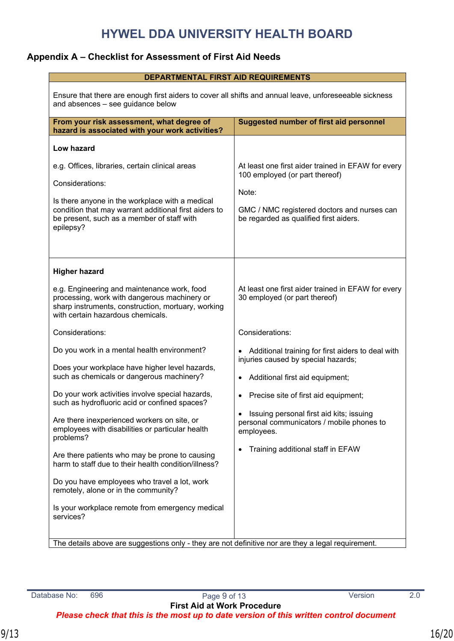## <span id="page-15-0"></span>**Appendix A – Checklist for Assessment of First Aid Needs**

| <b>DEPARTMENTAL FIRST AID REQUIREMENTS</b>                                                                                                                                                                                                                                                                                                                                                                                                                                                                                                                                                                                        |                                                                                                                                                                                                                                                                                                                   |  |  |  |
|-----------------------------------------------------------------------------------------------------------------------------------------------------------------------------------------------------------------------------------------------------------------------------------------------------------------------------------------------------------------------------------------------------------------------------------------------------------------------------------------------------------------------------------------------------------------------------------------------------------------------------------|-------------------------------------------------------------------------------------------------------------------------------------------------------------------------------------------------------------------------------------------------------------------------------------------------------------------|--|--|--|
| Ensure that there are enough first aiders to cover all shifts and annual leave, unforeseeable sickness<br>and absences - see guidance below                                                                                                                                                                                                                                                                                                                                                                                                                                                                                       |                                                                                                                                                                                                                                                                                                                   |  |  |  |
| From your risk assessment, what degree of<br>hazard is associated with your work activities?                                                                                                                                                                                                                                                                                                                                                                                                                                                                                                                                      | <b>Suggested number of first aid personnel</b>                                                                                                                                                                                                                                                                    |  |  |  |
| <b>Low hazard</b><br>e.g. Offices, libraries, certain clinical areas<br>Considerations:<br>Is there anyone in the workplace with a medical<br>condition that may warrant additional first aiders to<br>be present, such as a member of staff with<br>epilepsy?                                                                                                                                                                                                                                                                                                                                                                    | At least one first aider trained in EFAW for every<br>100 employed (or part thereof)<br>Note:<br>GMC / NMC registered doctors and nurses can<br>be regarded as qualified first aiders.                                                                                                                            |  |  |  |
| <b>Higher hazard</b><br>e.g. Engineering and maintenance work, food<br>processing, work with dangerous machinery or<br>sharp instruments, construction, mortuary, working<br>with certain hazardous chemicals.                                                                                                                                                                                                                                                                                                                                                                                                                    | At least one first aider trained in EFAW for every<br>30 employed (or part thereof)                                                                                                                                                                                                                               |  |  |  |
| Considerations:                                                                                                                                                                                                                                                                                                                                                                                                                                                                                                                                                                                                                   | Considerations:                                                                                                                                                                                                                                                                                                   |  |  |  |
| Do you work in a mental health environment?<br>Does your workplace have higher level hazards,<br>such as chemicals or dangerous machinery?<br>Do your work activities involve special hazards,<br>such as hydrofluoric acid or confined spaces?<br>Are there inexperienced workers on site, or<br>employees with disabilities or particular health<br>problems?<br>Are there patients who may be prone to causing<br>harm to staff due to their health condition/illness?<br>Do you have employees who travel a lot, work<br>remotely, alone or in the community?<br>Is your workplace remote from emergency medical<br>services? | • Additional training for first aiders to deal with<br>injuries caused by special hazards;<br>Additional first aid equipment;<br>Precise site of first aid equipment;<br>Issuing personal first aid kits; issuing<br>personal communicators / mobile phones to<br>employees.<br>Training additional staff in EFAW |  |  |  |
| The details above are suggestions only - they are not definitive nor are they a legal requirement.                                                                                                                                                                                                                                                                                                                                                                                                                                                                                                                                |                                                                                                                                                                                                                                                                                                                   |  |  |  |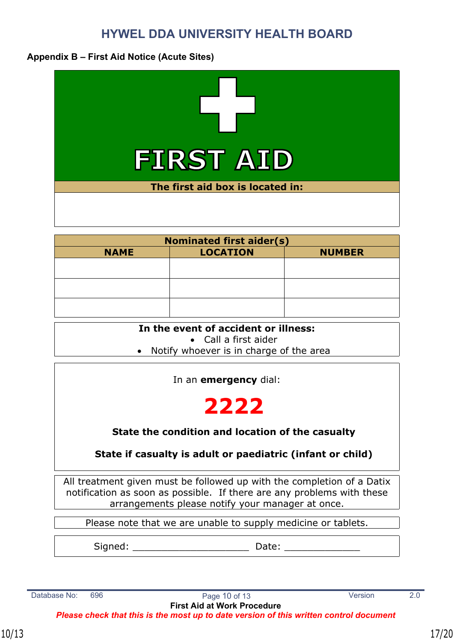### <span id="page-16-0"></span>**Appendix B – First Aid Notice (Acute Sites)**



| <b>Nominated first aider(s)</b> |                 |               |  |
|---------------------------------|-----------------|---------------|--|
| <b>NAME</b>                     | <b>LOCATION</b> | <b>NUMBER</b> |  |
|                                 |                 |               |  |
|                                 |                 |               |  |
|                                 |                 |               |  |
|                                 |                 |               |  |
|                                 |                 |               |  |
|                                 |                 |               |  |

#### **In the event of accident or illness:**

Call a first aider

• Notify whoever is in charge of the area

In an **emergency** dial:

# **2222**

## **State the condition and location of the casualty**

## **State if casualty is adult or paediatric (infant or child)**

All treatment given must be followed up with the completion of a Datix notification as soon as possible. If there are any problems with these arrangements please notify your manager at once.

Please note that we are unable to supply medicine or tablets.

Signed: \_\_\_\_\_\_\_\_\_\_\_\_\_\_\_\_\_\_\_\_ Date: \_\_\_\_\_\_\_\_\_\_\_\_\_

Database No: 696 **Page 10 of 13** Version 2.0 **First Aid at Work Procedure** *Please check that this is the most up to date version of this written control document*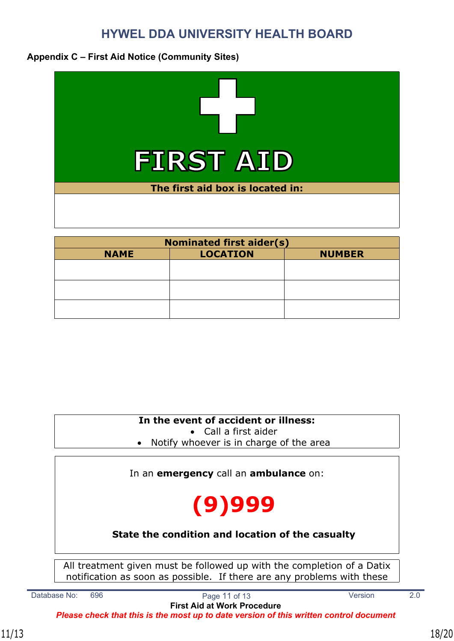## <span id="page-17-0"></span>**Appendix C – First Aid Notice (Community Sites)**



| <b>Nominated first aider(s)</b> |                                  |  |  |
|---------------------------------|----------------------------------|--|--|
| <b>NAME</b>                     | <b>LOCATION</b><br><b>NUMBER</b> |  |  |
|                                 |                                  |  |  |
|                                 |                                  |  |  |
|                                 |                                  |  |  |
|                                 |                                  |  |  |
|                                 |                                  |  |  |
|                                 |                                  |  |  |

**In the event of accident or illness:**

Call a first aider

• Notify whoever is in charge of the area

In an **emergency** call an **ambulance** on:

# **(9)999**

## **State the condition and location of the casualty**

All treatment given must be followed up with the completion of a Datix notification as soon as possible. If there are any problems with these

Database No: 696 **Page 11 of 13** Version 2.0

**First Aid at Work Procedure**

*Please check that this is the most up to date version of this written control document*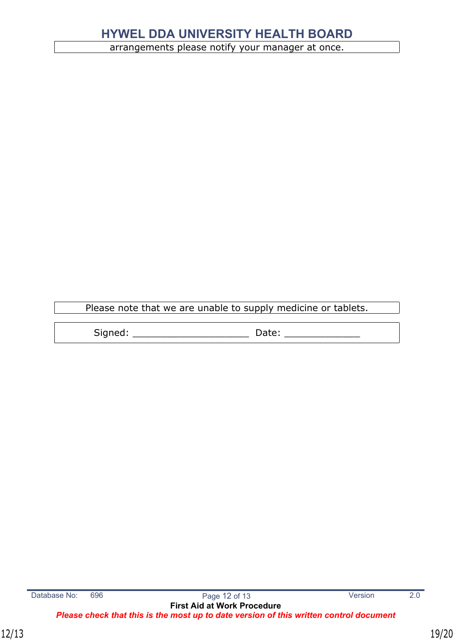arrangements please notify your manager at once.

Please note that we are unable to supply medicine or tablets.

Signed: \_\_\_\_\_\_\_\_\_\_\_\_\_\_\_\_\_\_\_\_ Date: \_\_\_\_\_\_\_\_\_\_\_\_\_